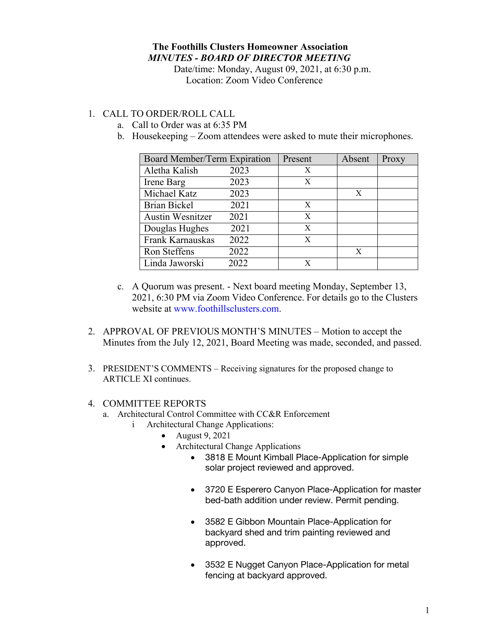### **The Foothills Clusters Homeowner Association** *MINUTES - BOARD OF DIRECTOR MEETING*

Date/time: Monday, August 09, 2021, at 6:30 p.m. Location: Zoom Video Conference

#### 1. CALL TO ORDER/ROLL CALL

- a. Call to Order was at 6:35 PM
- b. Housekeeping Zoom attendees were asked to mute their microphones.

| Board Member/Term Expiration |      | Present | Absent | Proxy |
|------------------------------|------|---------|--------|-------|
| Aletha Kalish                | 2023 | X       |        |       |
| Irene Barg                   | 2023 | X       |        |       |
| Michael Katz                 | 2023 |         | X      |       |
| <b>Brian Bickel</b>          | 2021 | X       |        |       |
| <b>Austin Wesnitzer</b>      | 2021 | X       |        |       |
| Douglas Hughes               | 2021 | X       |        |       |
| Frank Karnauskas             | 2022 | X       |        |       |
| Ron Steffens                 | 2022 |         | X      |       |
| Linda Jaworski               | 2022 | X       |        |       |

- c. A Quorum was present. Next board meeting Monday, September 13, 2021, 6:30 PM via Zoom Video Conference. For details go to the Clusters website at www.foothillsclusters.com.
- 2. APPROVAL OF PREVIOUS MONTH'S MINUTES Motion to accept the Minutes from the July 12, 2021, Board Meeting was made, seconded, and passed.
- 3. PRESIDENT'S COMMENTS Receiving signatures for the proposed change to ARTICLE XI continues.

#### 4. COMMITTEE REPORTS

- a. Architectural Control Committee with CC&R Enforcement
	- i Architectural Change Applications:
		- August 9, 2021
		- Architectural Change Applications
			- 3818 E Mount Kimball Place-Application for simple solar project reviewed and approved.
			- 3720 E Esperero Canyon Place-Application for master bed-bath addition under review. Permit pending.
			- 3582 E Gibbon Mountain Place-Application for backyard shed and trim painting reviewed and approved.
			- 3532 E Nugget Canyon Place-Application for metal fencing at backyard approved.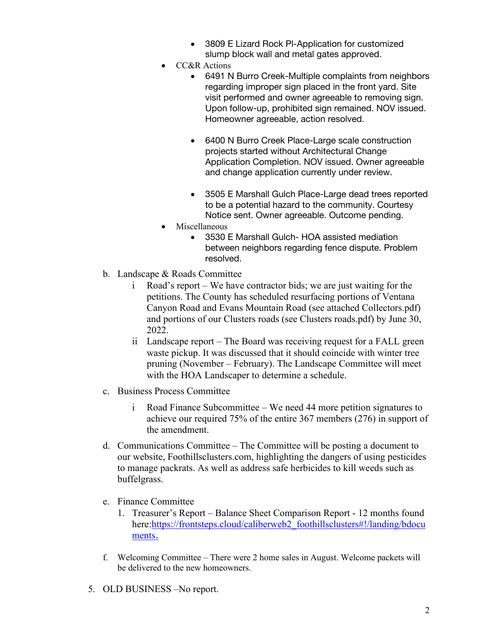- 3809 E Lizard Rock Pl-Application for customized slump block wall and metal gates approved.
- CC&R Actions
	- 6491 N Burro Creek-Multiple complaints from neighbors regarding improper sign placed in the front yard. Site visit performed and owner agreeable to removing sign. Upon follow-up, prohibited sign remained. NOV issued. Homeowner agreeable, action resolved.
	- 6400 N Burro Creek Place-Large scale construction projects started without Architectural Change Application Completion. NOV issued. Owner agreeable and change application currently under review.
	- 3505 E Marshall Gulch Place-Large dead trees reported to be a potential hazard to the community. Courtesy Notice sent. Owner agreeable. Outcome pending.
- Miscellaneous
	- 3530 E Marshall Gulch- HOA assisted mediation between neighbors regarding fence dispute. Problem resolved.
- b. Landscape & Roads Committee
	- i Road's report We have contractor bids; we are just waiting for the petitions. The County has scheduled resurfacing portions of Ventana Canyon Road and Evans Mountain Road (see attached Collectors.pdf) and portions of our Clusters roads (see Clusters roads.pdf) by June 30, 2022.
	- ii Landscape report The Board was receiving request for a FALL green waste pickup. It was discussed that it should coincide with winter tree pruning (November – February). The Landscape Committee will meet with the HOA Landscaper to determine a schedule.
- c. Business Process Committee
	- i Road Finance Subcommittee We need 44 more petition signatures to achieve our required 75% of the entire 367 members (276) in support of the amendment.
- d. Communications Committee The Committee will be posting a document to our website, Foothillsclusters.com, highlighting the dangers of using pesticides to manage packrats. As well as address safe herbicides to kill weeds such as buffelgrass.
- e. Finance Committee
	- 1. Treasurer's Report Balance Sheet Comparison Report 12 months found here:https://frontsteps.cloud/caliberweb2\_foothillsclusters#!/landing/bdocu ments.
- f. Welcoming Committee There were 2 home sales in August. Welcome packets will be delivered to the new homeowners.
- 5. OLD BUSINESS –No report.